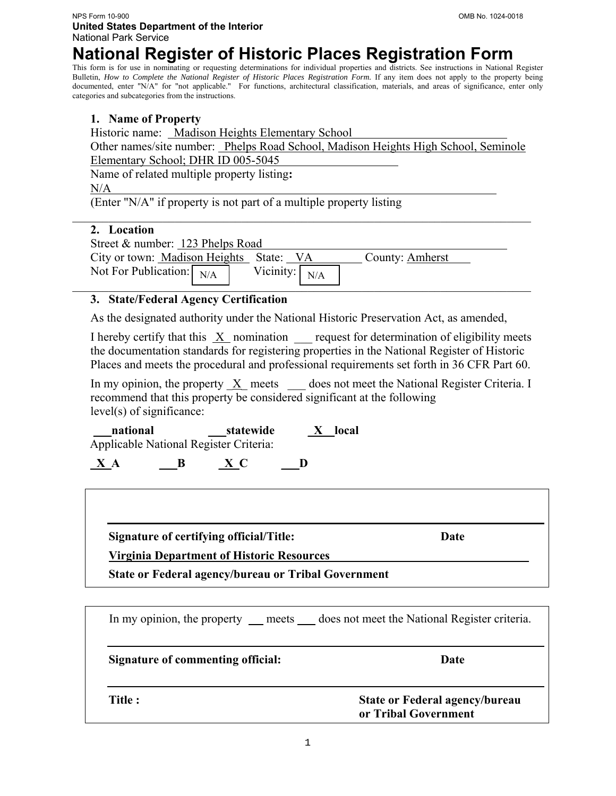**NPS Form 10-900 United States Department of the Interior**  National Park Service

# **National Register of Historic Places Registration Form**

This form is for use in nominating or requesting determinations for individual properties and districts. See instructions in National Register Bulletin, *How to Complete the National Register of Historic Places Registration Form*. If any item does not apply to the property being documented, enter "N/A" for "not applicable." For functions, architectural classification, materials, and areas of significance, enter only categories and subcategories from the instructions.

### **1. Name of Property**

Historic name: Madison Heights Elementary School

Other names/site number: Phelps Road School, Madison Heights High School, Seminole Elementary School; DHR ID 005-5045

Name of related multiple property listing**:** 

N/A

(Enter "N/A" if property is not part of a multiple property listing

### **2. Location**

| Street & number: 123 Phelps Road        |                       |                 |
|-----------------------------------------|-----------------------|-----------------|
| City or town: Madison Heights State: VA |                       | County: Amherst |
| Not For Publication: $N/A$              | Vicinity: $\big  N/A$ |                 |
|                                         |                       |                 |

# **3. State/Federal Agency Certification**

As the designated authority under the National Historic Preservation Act, as amended,

I hereby certify that this X nomination request for determination of eligibility meets the documentation standards for registering properties in the National Register of Historic Places and meets the procedural and professional requirements set forth in 36 CFR Part 60.

In my opinion, the property  $X$  meets does not meet the National Register Criteria. I recommend that this property be considered significant at the following level(s) of significance:

**national statewide X local** Applicable National Register Criteria:

 $\begin{array}{cccc} X & A & \phantom{aa} & B & \phantom{aa} & X & C & \phantom{aa} & D \end{array}$ 

**Signature of certifying official/Title: Date** 

**Virginia Department of Historic Resources\_\_\_\_\_\_\_\_\_\_\_\_\_\_\_\_\_\_\_\_\_\_\_\_\_\_\_\_\_\_\_\_\_** 

**State or Federal agency/bureau or Tribal Government** 

|                                   | In my opinion, the property ___ meets ____ does not meet the National Register criteria. |
|-----------------------------------|------------------------------------------------------------------------------------------|
| Signature of commenting official: | Date                                                                                     |
| Title :                           | <b>State or Federal agency/bureau</b><br>or Tribal Government                            |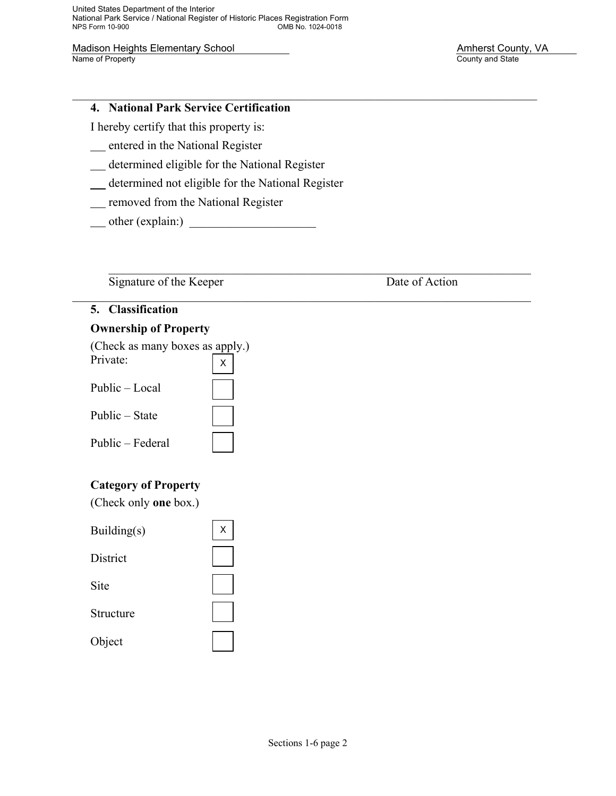United States Department of the Interior National Park Service / National Register of Historic Places Registration Form OMB No. 1024-0018

Madison Heights Elementary School Madison Heights Elementary School Amherst County, VA<br>
Name of Property County and State

County and State

### **4. National Park Service Certification**

I hereby certify that this property is:

entered in the National Register

determined eligible for the National Register

determined not eligible for the National Register

**removed from the National Register** 

 $\longrightarrow$  other (explain:)  $\longrightarrow$ 

Signature of the Keeper Date of Action

 $\mathcal{L}_\mathcal{L} = \mathcal{L}_\mathcal{L} = \mathcal{L}_\mathcal{L} = \mathcal{L}_\mathcal{L} = \mathcal{L}_\mathcal{L} = \mathcal{L}_\mathcal{L} = \mathcal{L}_\mathcal{L} = \mathcal{L}_\mathcal{L} = \mathcal{L}_\mathcal{L} = \mathcal{L}_\mathcal{L} = \mathcal{L}_\mathcal{L} = \mathcal{L}_\mathcal{L} = \mathcal{L}_\mathcal{L} = \mathcal{L}_\mathcal{L} = \mathcal{L}_\mathcal{L} = \mathcal{L}_\mathcal{L} = \mathcal{L}_\mathcal{L}$ 

### **5. Classification**

# **Ownership of Property**

 (Check as many boxes as apply.)  $n_{\text{wint}}$ 

| Private:         |  |
|------------------|--|
| Public – Local   |  |
| Public – State   |  |
| Public – Federal |  |

# **Category of Property**

(Check only **one** box.)

| Building(s)     | Χ |
|-----------------|---|
| <b>District</b> |   |
| Site            |   |
| Structure       |   |
| Object          |   |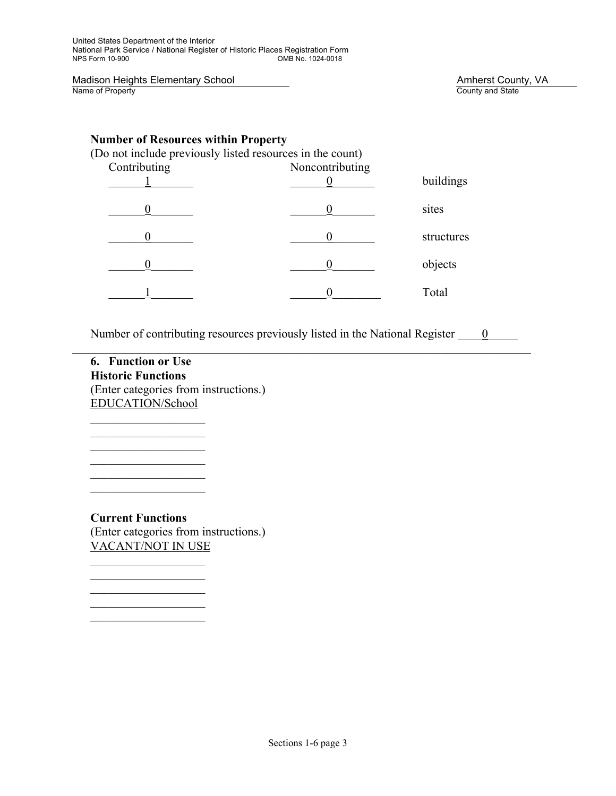Madison Heights Elementary School Madison Heights Elementary School Amherst County, VA<br>
Name of Property County and State

County and State

# **Number of Resources within Property**

| (Do not include previously listed resources in the count) |                 |            |
|-----------------------------------------------------------|-----------------|------------|
| Contributing                                              | Noncontributing |            |
|                                                           |                 | buildings  |
|                                                           |                 | sites      |
|                                                           |                 | structures |
|                                                           |                 | objects    |
|                                                           |                 | Total      |

Number of contributing resources previously listed in the National Register  $\qquad 0$  $\mathcal{L}_\mathcal{L} = \mathcal{L}_\mathcal{L} = \mathcal{L}_\mathcal{L} = \mathcal{L}_\mathcal{L} = \mathcal{L}_\mathcal{L} = \mathcal{L}_\mathcal{L} = \mathcal{L}_\mathcal{L} = \mathcal{L}_\mathcal{L} = \mathcal{L}_\mathcal{L} = \mathcal{L}_\mathcal{L} = \mathcal{L}_\mathcal{L} = \mathcal{L}_\mathcal{L} = \mathcal{L}_\mathcal{L} = \mathcal{L}_\mathcal{L} = \mathcal{L}_\mathcal{L} = \mathcal{L}_\mathcal{L} = \mathcal{L}_\mathcal{L}$ 

**6. Function or Use Historic Functions**  (Enter categories from instructions.) EDUCATION/School

 $\mathcal{L}=\frac{1}{2}\sum_{i=1}^{n} \frac{1}{2} \sum_{i=1}^{n} \frac{1}{2} \sum_{i=1}^{n} \frac{1}{2} \sum_{i=1}^{n} \frac{1}{2} \sum_{i=1}^{n} \frac{1}{2} \sum_{i=1}^{n} \frac{1}{2} \sum_{i=1}^{n} \frac{1}{2} \sum_{i=1}^{n} \frac{1}{2} \sum_{i=1}^{n} \frac{1}{2} \sum_{i=1}^{n} \frac{1}{2} \sum_{i=1}^{n} \frac{1}{2} \sum_{i=1}^{n} \frac{1}{2} \sum_{i$ 

 $\mathcal{L}=\frac{1}{2}\sum_{i=1}^{n} \frac{1}{2} \sum_{i=1}^{n} \frac{1}{2} \sum_{i=1}^{n} \frac{1}{2} \sum_{i=1}^{n} \frac{1}{2} \sum_{i=1}^{n} \frac{1}{2} \sum_{i=1}^{n} \frac{1}{2} \sum_{i=1}^{n} \frac{1}{2} \sum_{i=1}^{n} \frac{1}{2} \sum_{i=1}^{n} \frac{1}{2} \sum_{i=1}^{n} \frac{1}{2} \sum_{i=1}^{n} \frac{1}{2} \sum_{i=1}^{n} \frac{1}{2} \sum_{i$ 

**Current Functions**  (Enter categories from instructions.) VACANT/NOT IN USE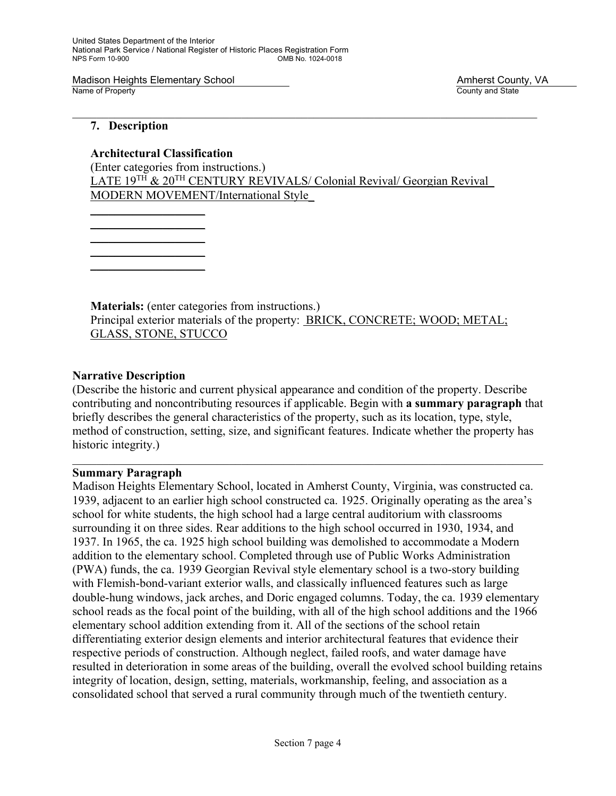# **7. Description**

 **Architectural Classification** 

(Enter categories from instructions.) LATE 19<sup>TH</sup> & 20<sup>TH</sup> CENTURY REVIVALS/ Colonial Revival/ Georgian Revival MODERN MOVEMENT/International Style\_

 $\overline{\phantom{a}}$  ,  $\overline{\phantom{a}}$  ,  $\overline{\phantom{a}}$  ,  $\overline{\phantom{a}}$  ,  $\overline{\phantom{a}}$  ,  $\overline{\phantom{a}}$  ,  $\overline{\phantom{a}}$  ,  $\overline{\phantom{a}}$  ,  $\overline{\phantom{a}}$  ,  $\overline{\phantom{a}}$  ,  $\overline{\phantom{a}}$  ,  $\overline{\phantom{a}}$  ,  $\overline{\phantom{a}}$  ,  $\overline{\phantom{a}}$  ,  $\overline{\phantom{a}}$  ,  $\overline{\phantom{a}}$  $\mathcal{L}=\underbrace{\mathcal{L}=\mathcal{L}=\mathcal{L}=\mathcal{L}=\mathcal{L}=\mathcal{L}=\mathcal{L}=\mathcal{L}=\mathcal{L}=\mathcal{L}=\mathcal{L}=\mathcal{L}=\mathcal{L}=\mathcal{L}=\mathcal{L}=\mathcal{L}=\mathcal{L}=\mathcal{L}=\mathcal{L}=\mathcal{L}=\mathcal{L}=\mathcal{L}=\mathcal{L}=\mathcal{L}=\mathcal{L}=\mathcal{L}=\mathcal{L}=\mathcal{L}=\mathcal{L}=\mathcal{L}=\mathcal{L}=\mathcal{L}=\mathcal{L}=\mathcal{L}=\mathcal{L}=\$  $\mathcal{L}=\underbrace{\mathcal{L}=\mathcal{L}=\mathcal{L}=\mathcal{L}=\mathcal{L}=\mathcal{L}=\mathcal{L}=\mathcal{L}=\mathcal{L}=\mathcal{L}=\mathcal{L}=\mathcal{L}=\mathcal{L}=\mathcal{L}=\mathcal{L}=\mathcal{L}=\mathcal{L}=\mathcal{L}=\mathcal{L}=\mathcal{L}=\mathcal{L}=\mathcal{L}=\mathcal{L}=\mathcal{L}=\mathcal{L}=\mathcal{L}=\mathcal{L}=\mathcal{L}=\mathcal{L}=\mathcal{L}=\mathcal{L}=\mathcal{L}=\mathcal{L}=\mathcal{L}=\mathcal{L}=\$ 

 $\overline{\phantom{a}}$  ,  $\overline{\phantom{a}}$  ,  $\overline{\phantom{a}}$  ,  $\overline{\phantom{a}}$  ,  $\overline{\phantom{a}}$  ,  $\overline{\phantom{a}}$  ,  $\overline{\phantom{a}}$  ,  $\overline{\phantom{a}}$  ,  $\overline{\phantom{a}}$  ,  $\overline{\phantom{a}}$  ,  $\overline{\phantom{a}}$  ,  $\overline{\phantom{a}}$  ,  $\overline{\phantom{a}}$  ,  $\overline{\phantom{a}}$  ,  $\overline{\phantom{a}}$  ,  $\overline{\phantom{a}}$ 

 $\overline{\phantom{a}}$  ,  $\overline{\phantom{a}}$  ,  $\overline{\phantom{a}}$  ,  $\overline{\phantom{a}}$  ,  $\overline{\phantom{a}}$  ,  $\overline{\phantom{a}}$  ,  $\overline{\phantom{a}}$  ,  $\overline{\phantom{a}}$  ,  $\overline{\phantom{a}}$  ,  $\overline{\phantom{a}}$  ,  $\overline{\phantom{a}}$  ,  $\overline{\phantom{a}}$  ,  $\overline{\phantom{a}}$  ,  $\overline{\phantom{a}}$  ,  $\overline{\phantom{a}}$  ,  $\overline{\phantom{a}}$ 

**Materials:** (enter categories from instructions.) Principal exterior materials of the property: BRICK, CONCRETE; WOOD; METAL; GLASS, STONE, STUCCO

### **Narrative Description**

(Describe the historic and current physical appearance and condition of the property. Describe contributing and noncontributing resources if applicable. Begin with **a summary paragraph** that briefly describes the general characteristics of the property, such as its location, type, style, method of construction, setting, size, and significant features. Indicate whether the property has historic integrity.)

#### **Summary Paragraph**

Madison Heights Elementary School, located in Amherst County, Virginia, was constructed ca. 1939, adjacent to an earlier high school constructed ca. 1925. Originally operating as the area's school for white students, the high school had a large central auditorium with classrooms surrounding it on three sides. Rear additions to the high school occurred in 1930, 1934, and 1937. In 1965, the ca. 1925 high school building was demolished to accommodate a Modern addition to the elementary school. Completed through use of Public Works Administration (PWA) funds, the ca. 1939 Georgian Revival style elementary school is a two-story building with Flemish-bond-variant exterior walls, and classically influenced features such as large double-hung windows, jack arches, and Doric engaged columns. Today, the ca. 1939 elementary school reads as the focal point of the building, with all of the high school additions and the 1966 elementary school addition extending from it. All of the sections of the school retain differentiating exterior design elements and interior architectural features that evidence their respective periods of construction. Although neglect, failed roofs, and water damage have resulted in deterioration in some areas of the building, overall the evolved school building retains integrity of location, design, setting, materials, workmanship, feeling, and association as a consolidated school that served a rural community through much of the twentieth century.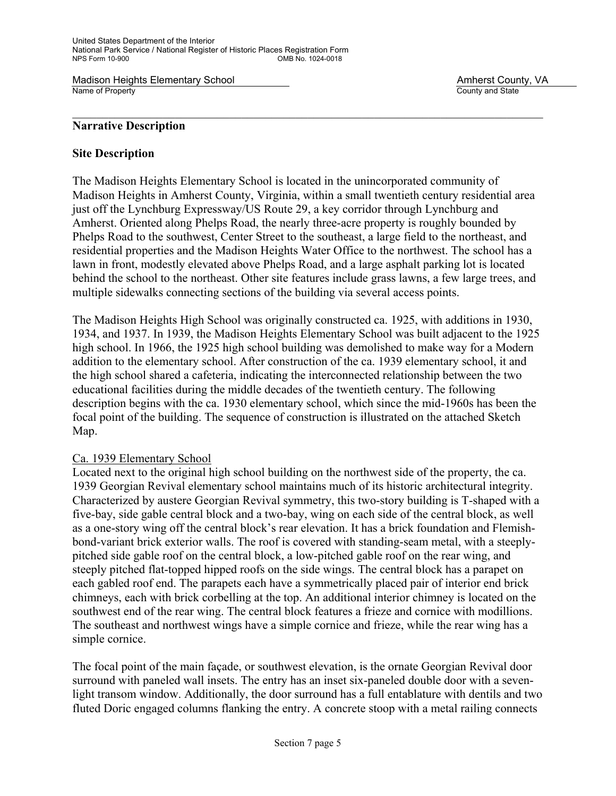### **Narrative Description**

### **Site Description**

The Madison Heights Elementary School is located in the unincorporated community of Madison Heights in Amherst County, Virginia, within a small twentieth century residential area just off the Lynchburg Expressway/US Route 29, a key corridor through Lynchburg and Amherst. Oriented along Phelps Road, the nearly three-acre property is roughly bounded by Phelps Road to the southwest, Center Street to the southeast, a large field to the northeast, and residential properties and the Madison Heights Water Office to the northwest. The school has a lawn in front, modestly elevated above Phelps Road, and a large asphalt parking lot is located behind the school to the northeast. Other site features include grass lawns, a few large trees, and multiple sidewalks connecting sections of the building via several access points.

The Madison Heights High School was originally constructed ca. 1925, with additions in 1930, 1934, and 1937. In 1939, the Madison Heights Elementary School was built adjacent to the 1925 high school. In 1966, the 1925 high school building was demolished to make way for a Modern addition to the elementary school. After construction of the ca. 1939 elementary school, it and the high school shared a cafeteria, indicating the interconnected relationship between the two educational facilities during the middle decades of the twentieth century. The following description begins with the ca. 1930 elementary school, which since the mid-1960s has been the focal point of the building. The sequence of construction is illustrated on the attached Sketch Map.

### Ca. 1939 Elementary School

Located next to the original high school building on the northwest side of the property, the ca. 1939 Georgian Revival elementary school maintains much of its historic architectural integrity. Characterized by austere Georgian Revival symmetry, this two-story building is T-shaped with a five-bay, side gable central block and a two-bay, wing on each side of the central block, as well as a one-story wing off the central block's rear elevation. It has a brick foundation and Flemishbond-variant brick exterior walls. The roof is covered with standing-seam metal, with a steeplypitched side gable roof on the central block, a low-pitched gable roof on the rear wing, and steeply pitched flat-topped hipped roofs on the side wings. The central block has a parapet on each gabled roof end. The parapets each have a symmetrically placed pair of interior end brick chimneys, each with brick corbelling at the top. An additional interior chimney is located on the southwest end of the rear wing. The central block features a frieze and cornice with modillions. The southeast and northwest wings have a simple cornice and frieze, while the rear wing has a simple cornice.

The focal point of the main façade, or southwest elevation, is the ornate Georgian Revival door surround with paneled wall insets. The entry has an inset six-paneled double door with a sevenlight transom window. Additionally, the door surround has a full entablature with dentils and two fluted Doric engaged columns flanking the entry. A concrete stoop with a metal railing connects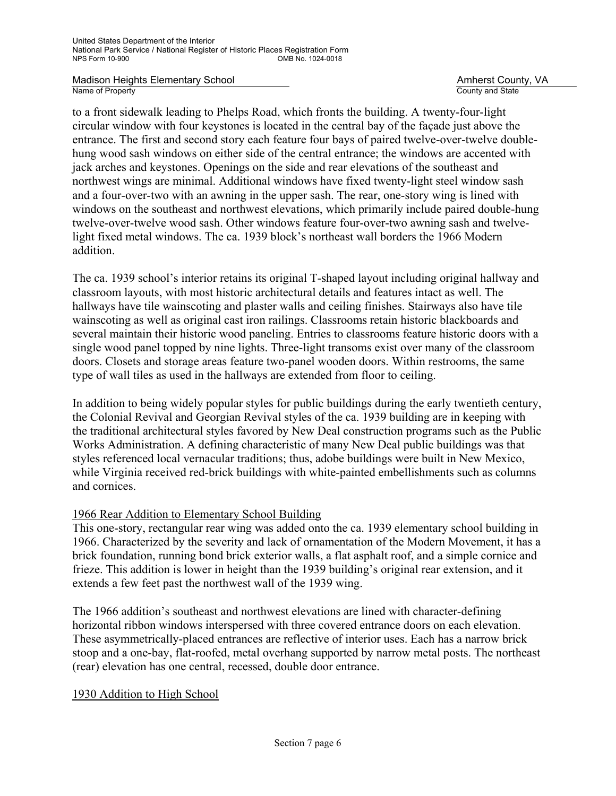to a front sidewalk leading to Phelps Road, which fronts the building. A twenty-four-light circular window with four keystones is located in the central bay of the façade just above the entrance. The first and second story each feature four bays of paired twelve-over-twelve doublehung wood sash windows on either side of the central entrance; the windows are accented with jack arches and keystones. Openings on the side and rear elevations of the southeast and northwest wings are minimal. Additional windows have fixed twenty-light steel window sash and a four-over-two with an awning in the upper sash. The rear, one-story wing is lined with windows on the southeast and northwest elevations, which primarily include paired double-hung twelve-over-twelve wood sash. Other windows feature four-over-two awning sash and twelvelight fixed metal windows. The ca. 1939 block's northeast wall borders the 1966 Modern addition.

The ca. 1939 school's interior retains its original T-shaped layout including original hallway and classroom layouts, with most historic architectural details and features intact as well. The hallways have tile wainscoting and plaster walls and ceiling finishes. Stairways also have tile wainscoting as well as original cast iron railings. Classrooms retain historic blackboards and several maintain their historic wood paneling. Entries to classrooms feature historic doors with a single wood panel topped by nine lights. Three-light transoms exist over many of the classroom doors. Closets and storage areas feature two-panel wooden doors. Within restrooms, the same type of wall tiles as used in the hallways are extended from floor to ceiling.

In addition to being widely popular styles for public buildings during the early twentieth century, the Colonial Revival and Georgian Revival styles of the ca. 1939 building are in keeping with the traditional architectural styles favored by New Deal construction programs such as the Public Works Administration. A defining characteristic of many New Deal public buildings was that styles referenced local vernacular traditions; thus, adobe buildings were built in New Mexico, while Virginia received red-brick buildings with white-painted embellishments such as columns and cornices.

# 1966 Rear Addition to Elementary School Building

This one-story, rectangular rear wing was added onto the ca. 1939 elementary school building in 1966. Characterized by the severity and lack of ornamentation of the Modern Movement, it has a brick foundation, running bond brick exterior walls, a flat asphalt roof, and a simple cornice and frieze. This addition is lower in height than the 1939 building's original rear extension, and it extends a few feet past the northwest wall of the 1939 wing.

The 1966 addition's southeast and northwest elevations are lined with character-defining horizontal ribbon windows interspersed with three covered entrance doors on each elevation. These asymmetrically-placed entrances are reflective of interior uses. Each has a narrow brick stoop and a one-bay, flat-roofed, metal overhang supported by narrow metal posts. The northeast (rear) elevation has one central, recessed, double door entrance.

### 1930 Addition to High School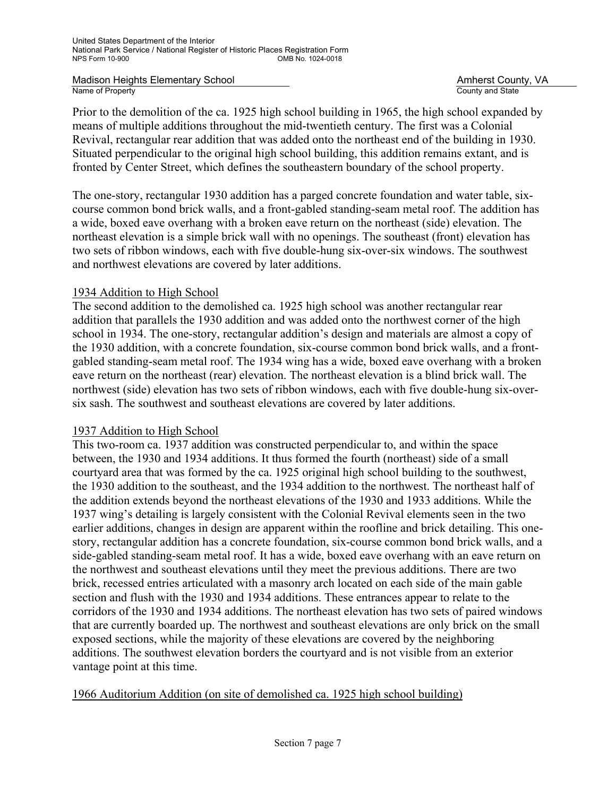Prior to the demolition of the ca. 1925 high school building in 1965, the high school expanded by means of multiple additions throughout the mid-twentieth century. The first was a Colonial Revival, rectangular rear addition that was added onto the northeast end of the building in 1930. Situated perpendicular to the original high school building, this addition remains extant, and is fronted by Center Street, which defines the southeastern boundary of the school property.

The one-story, rectangular 1930 addition has a parged concrete foundation and water table, sixcourse common bond brick walls, and a front-gabled standing-seam metal roof. The addition has a wide, boxed eave overhang with a broken eave return on the northeast (side) elevation. The northeast elevation is a simple brick wall with no openings. The southeast (front) elevation has two sets of ribbon windows, each with five double-hung six-over-six windows. The southwest and northwest elevations are covered by later additions.

# 1934 Addition to High School

The second addition to the demolished ca. 1925 high school was another rectangular rear addition that parallels the 1930 addition and was added onto the northwest corner of the high school in 1934. The one-story, rectangular addition's design and materials are almost a copy of the 1930 addition, with a concrete foundation, six-course common bond brick walls, and a frontgabled standing-seam metal roof. The 1934 wing has a wide, boxed eave overhang with a broken eave return on the northeast (rear) elevation. The northeast elevation is a blind brick wall. The northwest (side) elevation has two sets of ribbon windows, each with five double-hung six-oversix sash. The southwest and southeast elevations are covered by later additions.

### 1937 Addition to High School

This two-room ca. 1937 addition was constructed perpendicular to, and within the space between, the 1930 and 1934 additions. It thus formed the fourth (northeast) side of a small courtyard area that was formed by the ca. 1925 original high school building to the southwest, the 1930 addition to the southeast, and the 1934 addition to the northwest. The northeast half of the addition extends beyond the northeast elevations of the 1930 and 1933 additions. While the 1937 wing's detailing is largely consistent with the Colonial Revival elements seen in the two earlier additions, changes in design are apparent within the roofline and brick detailing. This onestory, rectangular addition has a concrete foundation, six-course common bond brick walls, and a side-gabled standing-seam metal roof. It has a wide, boxed eave overhang with an eave return on the northwest and southeast elevations until they meet the previous additions. There are two brick, recessed entries articulated with a masonry arch located on each side of the main gable section and flush with the 1930 and 1934 additions. These entrances appear to relate to the corridors of the 1930 and 1934 additions. The northeast elevation has two sets of paired windows that are currently boarded up. The northwest and southeast elevations are only brick on the small exposed sections, while the majority of these elevations are covered by the neighboring additions. The southwest elevation borders the courtyard and is not visible from an exterior vantage point at this time.

# 1966 Auditorium Addition (on site of demolished ca. 1925 high school building)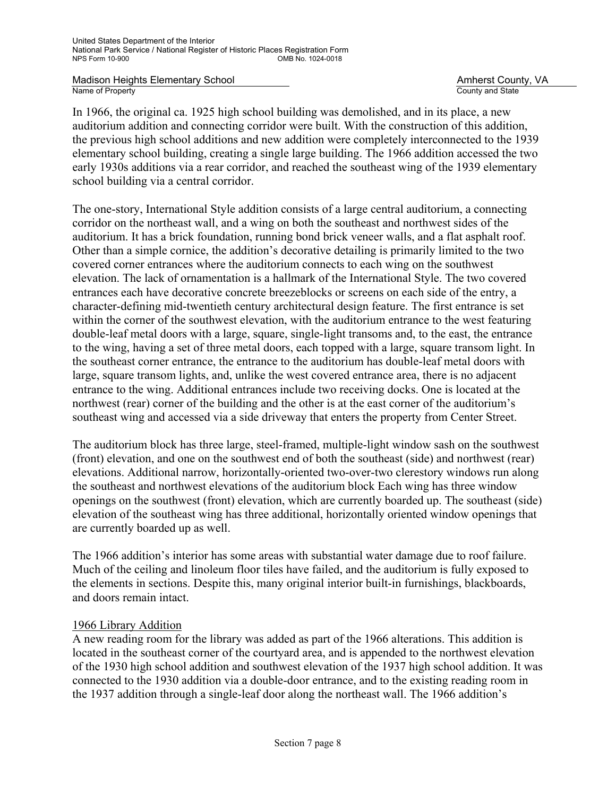In 1966, the original ca. 1925 high school building was demolished, and in its place, a new auditorium addition and connecting corridor were built. With the construction of this addition, the previous high school additions and new addition were completely interconnected to the 1939 elementary school building, creating a single large building. The 1966 addition accessed the two early 1930s additions via a rear corridor, and reached the southeast wing of the 1939 elementary school building via a central corridor.

The one-story, International Style addition consists of a large central auditorium, a connecting corridor on the northeast wall, and a wing on both the southeast and northwest sides of the auditorium. It has a brick foundation, running bond brick veneer walls, and a flat asphalt roof. Other than a simple cornice, the addition's decorative detailing is primarily limited to the two covered corner entrances where the auditorium connects to each wing on the southwest elevation. The lack of ornamentation is a hallmark of the International Style. The two covered entrances each have decorative concrete breezeblocks or screens on each side of the entry, a character-defining mid-twentieth century architectural design feature. The first entrance is set within the corner of the southwest elevation, with the auditorium entrance to the west featuring double-leaf metal doors with a large, square, single-light transoms and, to the east, the entrance to the wing, having a set of three metal doors, each topped with a large, square transom light. In the southeast corner entrance, the entrance to the auditorium has double-leaf metal doors with large, square transom lights, and, unlike the west covered entrance area, there is no adjacent entrance to the wing. Additional entrances include two receiving docks. One is located at the northwest (rear) corner of the building and the other is at the east corner of the auditorium's southeast wing and accessed via a side driveway that enters the property from Center Street.

The auditorium block has three large, steel-framed, multiple-light window sash on the southwest (front) elevation, and one on the southwest end of both the southeast (side) and northwest (rear) elevations. Additional narrow, horizontally-oriented two-over-two clerestory windows run along the southeast and northwest elevations of the auditorium block Each wing has three window openings on the southwest (front) elevation, which are currently boarded up. The southeast (side) elevation of the southeast wing has three additional, horizontally oriented window openings that are currently boarded up as well.

The 1966 addition's interior has some areas with substantial water damage due to roof failure. Much of the ceiling and linoleum floor tiles have failed, and the auditorium is fully exposed to the elements in sections. Despite this, many original interior built-in furnishings, blackboards, and doors remain intact.

### 1966 Library Addition

A new reading room for the library was added as part of the 1966 alterations. This addition is located in the southeast corner of the courtyard area, and is appended to the northwest elevation of the 1930 high school addition and southwest elevation of the 1937 high school addition. It was connected to the 1930 addition via a double-door entrance, and to the existing reading room in the 1937 addition through a single-leaf door along the northeast wall. The 1966 addition's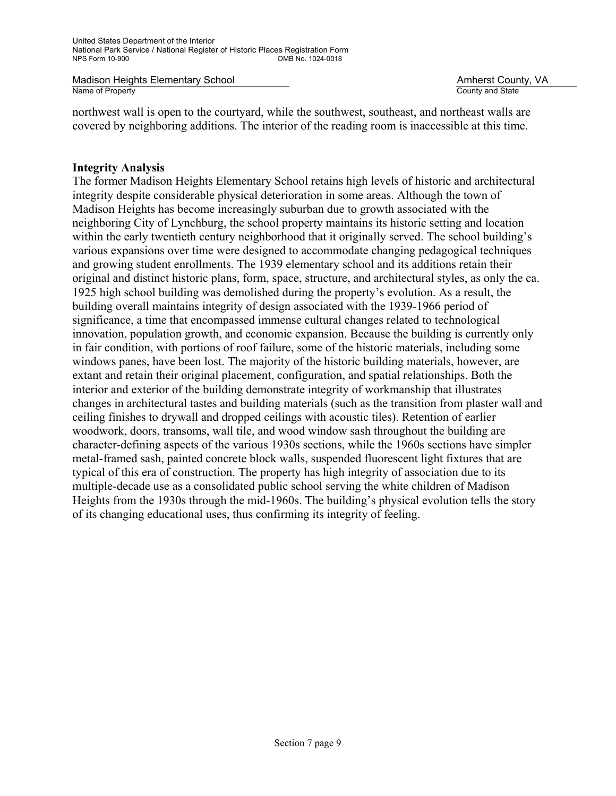northwest wall is open to the courtyard, while the southwest, southeast, and northeast walls are covered by neighboring additions. The interior of the reading room is inaccessible at this time.

### **Integrity Analysis**

The former Madison Heights Elementary School retains high levels of historic and architectural integrity despite considerable physical deterioration in some areas. Although the town of Madison Heights has become increasingly suburban due to growth associated with the neighboring City of Lynchburg, the school property maintains its historic setting and location within the early twentieth century neighborhood that it originally served. The school building's various expansions over time were designed to accommodate changing pedagogical techniques and growing student enrollments. The 1939 elementary school and its additions retain their original and distinct historic plans, form, space, structure, and architectural styles, as only the ca. 1925 high school building was demolished during the property's evolution. As a result, the building overall maintains integrity of design associated with the 1939-1966 period of significance, a time that encompassed immense cultural changes related to technological innovation, population growth, and economic expansion. Because the building is currently only in fair condition, with portions of roof failure, some of the historic materials, including some windows panes, have been lost. The majority of the historic building materials, however, are extant and retain their original placement, configuration, and spatial relationships. Both the interior and exterior of the building demonstrate integrity of workmanship that illustrates changes in architectural tastes and building materials (such as the transition from plaster wall and ceiling finishes to drywall and dropped ceilings with acoustic tiles). Retention of earlier woodwork, doors, transoms, wall tile, and wood window sash throughout the building are character-defining aspects of the various 1930s sections, while the 1960s sections have simpler metal-framed sash, painted concrete block walls, suspended fluorescent light fixtures that are typical of this era of construction. The property has high integrity of association due to its multiple-decade use as a consolidated public school serving the white children of Madison Heights from the 1930s through the mid-1960s. The building's physical evolution tells the story of its changing educational uses, thus confirming its integrity of feeling.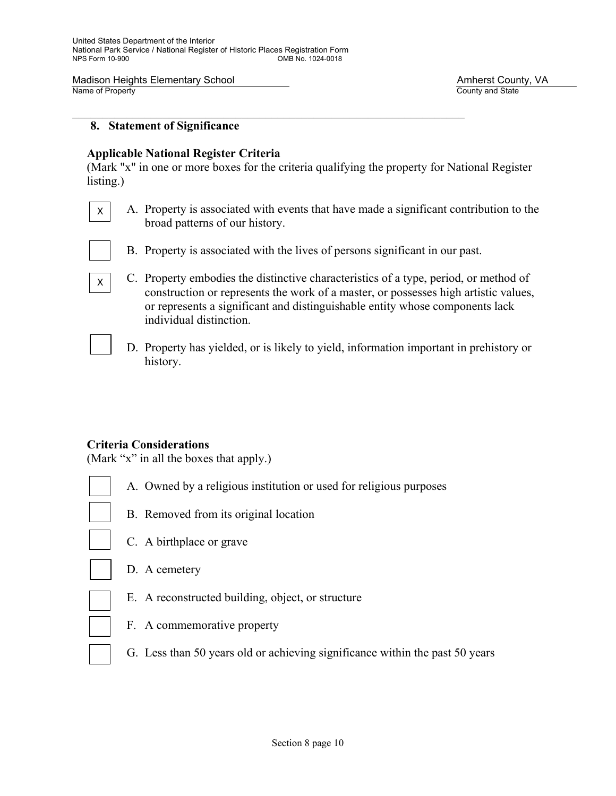#### **8. Statement of Significance**

#### **Applicable National Register Criteria**

(Mark "x" in one or more boxes for the criteria qualifying the property for National Register listing.)

- A. Property is associated with events that have made a significant contribution to the broad patterns of our history.
- 

X

X

- B. Property is associated with the lives of persons significant in our past.
- C. Property embodies the distinctive characteristics of a type, period, or method of construction or represents the work of a master, or possesses high artistic values, or represents a significant and distinguishable entity whose components lack individual distinction.
	- D. Property has yielded, or is likely to yield, information important in prehistory or history.

### **Criteria Considerations**

(Mark "x" in all the boxes that apply.)

- A. Owned by a religious institution or used for religious purposes
- - B. Removed from its original location
- 
- C. A birthplace or grave
- D. A cemetery
- E. A reconstructed building, object, or structure
- F. A commemorative property
- G. Less than 50 years old or achieving significance within the past 50 years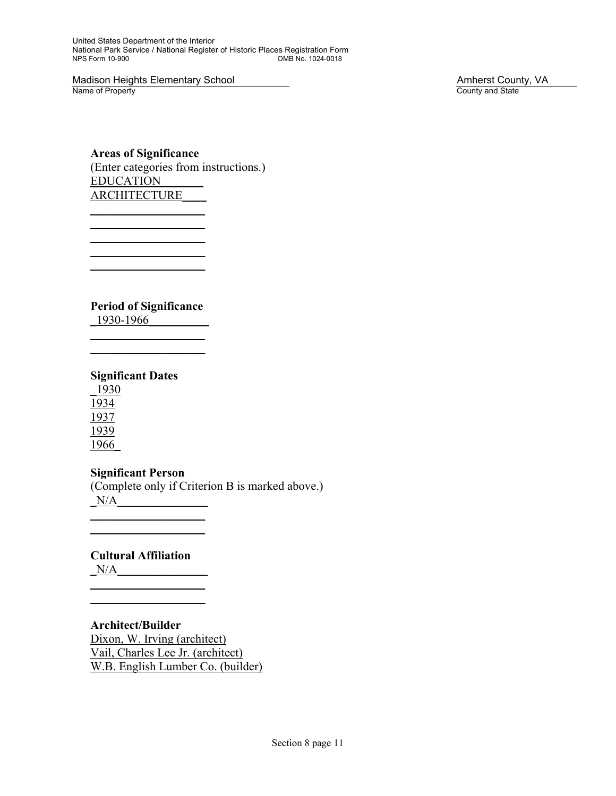United States Department of the Interior National Park Service / National Register of Historic Places Registration Form OMB No. 1024-0018

Madison Heights Elementary School Madison Heights Elementary School Amherst County, VA<br>
Name of Property County and State

County and State

### **Areas of Significance**  (Enter categories from instructions.) EDUCATION\_\_\_\_\_\_\_ **ARCHITECTURE**

**Period of Significance** 

 $\overline{\phantom{a}}$  , where  $\overline{\phantom{a}}$ 

 $\overline{\phantom{a}}$  , where  $\overline{\phantom{a}}$  $\overline{\phantom{a}}$  , where  $\overline{\phantom{a}}$ 

 $\overline{\phantom{a}}$  , where  $\overline{\phantom{a}}$ 

\_1930-1966\_\_\_\_\_\_\_\_\_\_  $\overline{\phantom{a}}$  , where  $\overline{\phantom{a}}$ 

# **Significant Dates**

\_1930 1934 1937 1939 1966\_

# **Significant Person**

 $\overline{\phantom{a}}$  , where  $\overline{\phantom{a}}$  $\overline{\phantom{a}}$  , where  $\overline{\phantom{a}}$ 

(Complete only if Criterion B is marked above.)  $N/A$ 

# **Cultural Affiliation**

 $\mathcal{L}=\underbrace{\mathcal{L}=\mathcal{L}=\mathcal{L}=\mathcal{L}=\mathcal{L}=\mathcal{L}=\mathcal{L}=\mathcal{L}=\mathcal{L}=\mathcal{L}=\mathcal{L}=\mathcal{L}=\mathcal{L}=\mathcal{L}=\mathcal{L}=\mathcal{L}=\mathcal{L}=\mathcal{L}=\mathcal{L}=\mathcal{L}=\mathcal{L}=\mathcal{L}=\mathcal{L}=\mathcal{L}=\mathcal{L}=\mathcal{L}=\mathcal{L}=\mathcal{L}=\mathcal{L}=\mathcal{L}=\mathcal{L}=\mathcal{L}=\mathcal{L}=\mathcal{L}=\mathcal{L}=\$  $\mathcal{L}=\underbrace{\mathcal{L}=\mathcal{L}=\mathcal{L}=\mathcal{L}=\mathcal{L}=\mathcal{L}=\mathcal{L}=\mathcal{L}=\mathcal{L}=\mathcal{L}=\mathcal{L}=\mathcal{L}=\mathcal{L}=\mathcal{L}=\mathcal{L}=\mathcal{L}=\mathcal{L}=\mathcal{L}=\mathcal{L}=\mathcal{L}=\mathcal{L}=\mathcal{L}=\mathcal{L}=\mathcal{L}=\mathcal{L}=\mathcal{L}=\mathcal{L}=\mathcal{L}=\mathcal{L}=\mathcal{L}=\mathcal{L}=\mathcal{L}=\mathcal{L}=\mathcal{L}=\mathcal{L}=\$ 

 $N/A$ 

### **Architect/Builder**  Dixon, W. Irving (architect) Vail, Charles Lee Jr. (architect) W.B. English Lumber Co. (builder)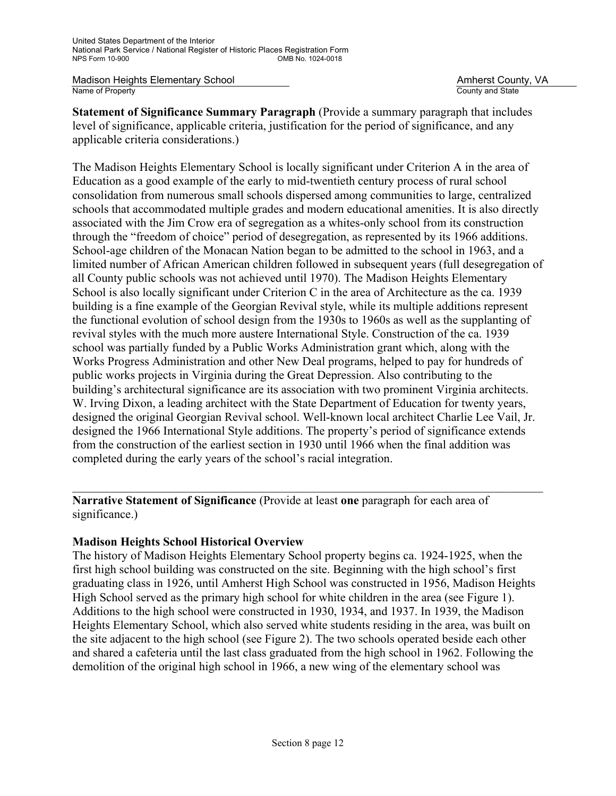**Statement of Significance Summary Paragraph** (Provide a summary paragraph that includes level of significance, applicable criteria, justification for the period of significance, and any applicable criteria considerations.)

The Madison Heights Elementary School is locally significant under Criterion A in the area of Education as a good example of the early to mid-twentieth century process of rural school consolidation from numerous small schools dispersed among communities to large, centralized schools that accommodated multiple grades and modern educational amenities. It is also directly associated with the Jim Crow era of segregation as a whites-only school from its construction through the "freedom of choice" period of desegregation, as represented by its 1966 additions. School-age children of the Monacan Nation began to be admitted to the school in 1963, and a limited number of African American children followed in subsequent years (full desegregation of all County public schools was not achieved until 1970). The Madison Heights Elementary School is also locally significant under Criterion C in the area of Architecture as the ca. 1939 building is a fine example of the Georgian Revival style, while its multiple additions represent the functional evolution of school design from the 1930s to 1960s as well as the supplanting of revival styles with the much more austere International Style. Construction of the ca. 1939 school was partially funded by a Public Works Administration grant which, along with the Works Progress Administration and other New Deal programs, helped to pay for hundreds of public works projects in Virginia during the Great Depression. Also contributing to the building's architectural significance are its association with two prominent Virginia architects. W. Irving Dixon, a leading architect with the State Department of Education for twenty years, designed the original Georgian Revival school. Well-known local architect Charlie Lee Vail, Jr. designed the 1966 International Style additions. The property's period of significance extends from the construction of the earliest section in 1930 until 1966 when the final addition was completed during the early years of the school's racial integration.

**Narrative Statement of Significance** (Provide at least **one** paragraph for each area of significance.)

### **Madison Heights School Historical Overview**

The history of Madison Heights Elementary School property begins ca. 1924-1925, when the first high school building was constructed on the site. Beginning with the high school's first graduating class in 1926, until Amherst High School was constructed in 1956, Madison Heights High School served as the primary high school for white children in the area (see Figure 1). Additions to the high school were constructed in 1930, 1934, and 1937. In 1939, the Madison Heights Elementary School, which also served white students residing in the area, was built on the site adjacent to the high school (see Figure 2). The two schools operated beside each other and shared a cafeteria until the last class graduated from the high school in 1962. Following the demolition of the original high school in 1966, a new wing of the elementary school was

 $\mathcal{L}_\mathcal{L} = \mathcal{L}_\mathcal{L} = \mathcal{L}_\mathcal{L} = \mathcal{L}_\mathcal{L} = \mathcal{L}_\mathcal{L} = \mathcal{L}_\mathcal{L} = \mathcal{L}_\mathcal{L} = \mathcal{L}_\mathcal{L} = \mathcal{L}_\mathcal{L} = \mathcal{L}_\mathcal{L} = \mathcal{L}_\mathcal{L} = \mathcal{L}_\mathcal{L} = \mathcal{L}_\mathcal{L} = \mathcal{L}_\mathcal{L} = \mathcal{L}_\mathcal{L} = \mathcal{L}_\mathcal{L} = \mathcal{L}_\mathcal{L}$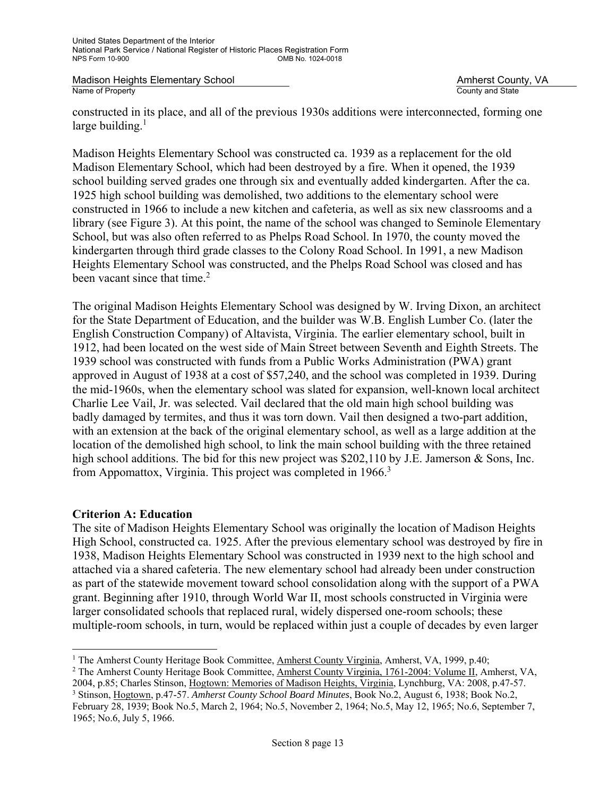constructed in its place, and all of the previous 1930s additions were interconnected, forming one large building. $<sup>1</sup>$ </sup>

Madison Heights Elementary School was constructed ca. 1939 as a replacement for the old Madison Elementary School, which had been destroyed by a fire. When it opened, the 1939 school building served grades one through six and eventually added kindergarten. After the ca. 1925 high school building was demolished, two additions to the elementary school were constructed in 1966 to include a new kitchen and cafeteria, as well as six new classrooms and a library (see Figure 3). At this point, the name of the school was changed to Seminole Elementary School, but was also often referred to as Phelps Road School. In 1970, the county moved the kindergarten through third grade classes to the Colony Road School. In 1991, a new Madison Heights Elementary School was constructed, and the Phelps Road School was closed and has been vacant since that time. $2$ 

The original Madison Heights Elementary School was designed by W. Irving Dixon, an architect for the State Department of Education, and the builder was W.B. English Lumber Co. (later the English Construction Company) of Altavista, Virginia. The earlier elementary school, built in 1912, had been located on the west side of Main Street between Seventh and Eighth Streets. The 1939 school was constructed with funds from a Public Works Administration (PWA) grant approved in August of 1938 at a cost of \$57,240, and the school was completed in 1939. During the mid-1960s, when the elementary school was slated for expansion, well-known local architect Charlie Lee Vail, Jr. was selected. Vail declared that the old main high school building was badly damaged by termites, and thus it was torn down. Vail then designed a two-part addition, with an extension at the back of the original elementary school, as well as a large addition at the location of the demolished high school, to link the main school building with the three retained high school additions. The bid for this new project was \$202,110 by J.E. Jamerson & Sons, Inc. from Appomattox, Virginia. This project was completed in 1966.<sup>3</sup>

### **Criterion A: Education**

The site of Madison Heights Elementary School was originally the location of Madison Heights High School, constructed ca. 1925. After the previous elementary school was destroyed by fire in 1938, Madison Heights Elementary School was constructed in 1939 next to the high school and attached via a shared cafeteria. The new elementary school had already been under construction as part of the statewide movement toward school consolidation along with the support of a PWA grant. Beginning after 1910, through World War II, most schools constructed in Virginia were larger consolidated schools that replaced rural, widely dispersed one-room schools; these multiple-room schools, in turn, would be replaced within just a couple of decades by even larger

i <sup>1</sup> The Amherst County Heritage Book Committee, <u>Amherst County Virginia</u>, Amherst, VA, 1999, p.40;<br><sup>2</sup> The Amherst County Heritage Book Committee, Amherst County Virginia, 1761-2004: Volume II, An

<sup>&</sup>lt;sup>2</sup> The Amherst County Heritage Book Committee, Amherst County Virginia, 1761-2004: Volume II, Amherst, VA, 2004, p.85; Charles Stinson, Hogtown: Memories of Madison Heights, Virginia, Lynchburg, VA: 2008, p.47-57.

<sup>3</sup> Stinson, Hogtown, p.47-57. *Amherst County School Board Minutes*, Book No.2, August 6, 1938; Book No.2, February 28, 1939; Book No.5, March 2, 1964; No.5, November 2, 1964; No.5, May 12, 1965; No.6, September 7, 1965; No.6, July 5, 1966.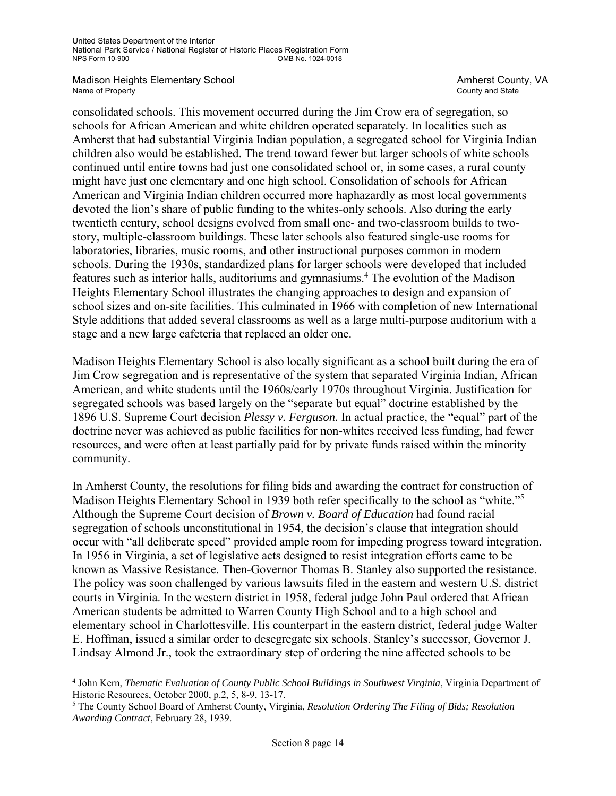i<br>L

consolidated schools. This movement occurred during the Jim Crow era of segregation, so schools for African American and white children operated separately. In localities such as Amherst that had substantial Virginia Indian population, a segregated school for Virginia Indian children also would be established. The trend toward fewer but larger schools of white schools continued until entire towns had just one consolidated school or, in some cases, a rural county might have just one elementary and one high school. Consolidation of schools for African American and Virginia Indian children occurred more haphazardly as most local governments devoted the lion's share of public funding to the whites-only schools. Also during the early twentieth century, school designs evolved from small one- and two-classroom builds to twostory, multiple-classroom buildings. These later schools also featured single-use rooms for laboratories, libraries, music rooms, and other instructional purposes common in modern schools. During the 1930s, standardized plans for larger schools were developed that included features such as interior halls, auditoriums and gymnasiums.<sup>4</sup> The evolution of the Madison Heights Elementary School illustrates the changing approaches to design and expansion of school sizes and on-site facilities. This culminated in 1966 with completion of new International Style additions that added several classrooms as well as a large multi-purpose auditorium with a stage and a new large cafeteria that replaced an older one.

Madison Heights Elementary School is also locally significant as a school built during the era of Jim Crow segregation and is representative of the system that separated Virginia Indian, African American, and white students until the 1960s/early 1970s throughout Virginia. Justification for segregated schools was based largely on the "separate but equal" doctrine established by the 1896 U.S. Supreme Court decision *Plessy v. Ferguson.* In actual practice, the "equal" part of the doctrine never was achieved as public facilities for non-whites received less funding, had fewer resources, and were often at least partially paid for by private funds raised within the minority community.

In Amherst County, the resolutions for filing bids and awarding the contract for construction of Madison Heights Elementary School in 1939 both refer specifically to the school as "white."<sup>5</sup> Although the Supreme Court decision of *Brown v. Board of Education* had found racial segregation of schools unconstitutional in 1954, the decision's clause that integration should occur with "all deliberate speed" provided ample room for impeding progress toward integration. In 1956 in Virginia, a set of legislative acts designed to resist integration efforts came to be known as Massive Resistance. Then-Governor Thomas B. Stanley also supported the resistance. The policy was soon challenged by various lawsuits filed in the eastern and western U.S. district courts in Virginia. In the western district in 1958, federal judge John Paul ordered that African American students be admitted to Warren County High School and to a high school and elementary school in Charlottesville. His counterpart in the eastern district, federal judge Walter E. Hoffman, issued a similar order to desegregate six schools. Stanley's successor, Governor J. Lindsay Almond Jr., took the extraordinary step of ordering the nine affected schools to be

<sup>4</sup> John Kern, *Thematic Evaluation of County Public School Buildings in Southwest Virginia*, Virginia Department of Historic Resources, October 2000, p.2, 5, 8-9, 13-17.

<sup>5</sup> The County School Board of Amherst County, Virginia, *Resolution Ordering The Filing of Bids; Resolution Awarding Contract*, February 28, 1939.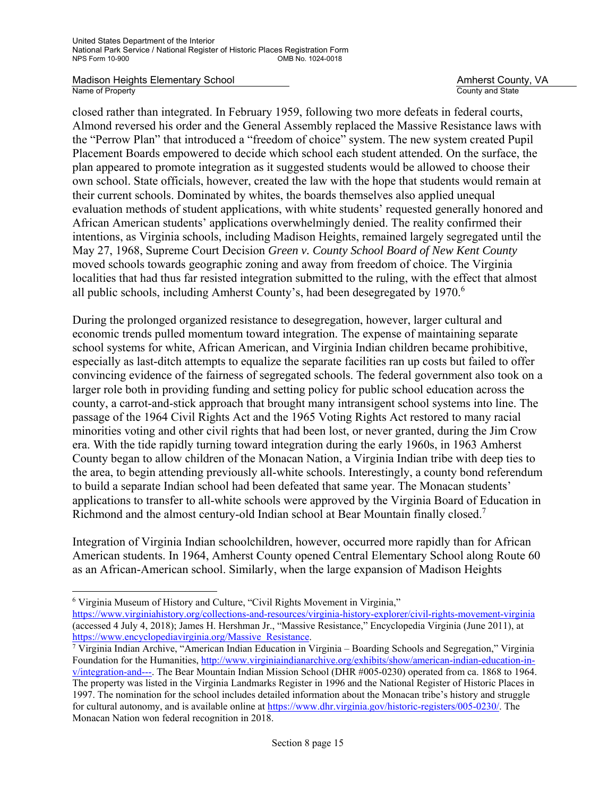Madison Heights Elementary School **Amherst County, VA**<br>
Name of Property **Amherst County Amherst County Amherst County** Amherst County Amherst County Amherst County Amherst County Amherst County Amherst County Amherst Coun

County and State

closed rather than integrated. In February 1959, following two more defeats in federal courts, Almond reversed his order and the General Assembly replaced the Massive Resistance laws with the "Perrow Plan" that introduced a "freedom of choice" system. The new system created Pupil Placement Boards empowered to decide which school each student attended. On the surface, the plan appeared to promote integration as it suggested students would be allowed to choose their own school. State officials, however, created the law with the hope that students would remain at their current schools. Dominated by whites, the boards themselves also applied unequal evaluation methods of student applications, with white students' requested generally honored and African American students' applications overwhelmingly denied. The reality confirmed their intentions, as Virginia schools, including Madison Heights, remained largely segregated until the May 27, 1968, Supreme Court Decision *Green v. County School Board of New Kent County* moved schools towards geographic zoning and away from freedom of choice. The Virginia localities that had thus far resisted integration submitted to the ruling, with the effect that almost all public schools, including Amherst County's, had been desegregated by 1970.<sup>6</sup>

During the prolonged organized resistance to desegregation, however, larger cultural and economic trends pulled momentum toward integration. The expense of maintaining separate school systems for white, African American, and Virginia Indian children became prohibitive, especially as last-ditch attempts to equalize the separate facilities ran up costs but failed to offer convincing evidence of the fairness of segregated schools. The federal government also took on a larger role both in providing funding and setting policy for public school education across the county, a carrot-and-stick approach that brought many intransigent school systems into line. The passage of the 1964 Civil Rights Act and the 1965 Voting Rights Act restored to many racial minorities voting and other civil rights that had been lost, or never granted, during the Jim Crow era. With the tide rapidly turning toward integration during the early 1960s, in 1963 Amherst County began to allow children of the Monacan Nation, a Virginia Indian tribe with deep ties to the area, to begin attending previously all-white schools. Interestingly, a county bond referendum to build a separate Indian school had been defeated that same year. The Monacan students' applications to transfer to all-white schools were approved by the Virginia Board of Education in Richmond and the almost century-old Indian school at Bear Mountain finally closed.<sup>7</sup>

Integration of Virginia Indian schoolchildren, however, occurred more rapidly than for African American students. In 1964, Amherst County opened Central Elementary School along Route 60 as an African-American school. Similarly, when the large expansion of Madison Heights

i

<sup>&</sup>lt;sup>6</sup> Virginia Museum of History and Culture, "Civil Rights Movement in Virginia,"

https://www.virginiahistory.org/collections-and-resources/virginia-history-explorer/civil-rights-movement-virginia (accessed 4 July 4, 2018); James H. Hershman Jr., "Massive Resistance," Encyclopedia Virginia (June 2011), at https://www.encyclopediavirginia.org/Massive\_Resistance.

<sup>&</sup>lt;sup>7</sup> Virginia Indian Archive, "American Indian Education in Virginia – Boarding Schools and Segregation," Virginia Foundation for the Humanities, http://www.virginiaindianarchive.org/exhibits/show/american-indian-education-inv/integration-and---. The Bear Mountain Indian Mission School (DHR #005-0230) operated from ca. 1868 to 1964. The property was listed in the Virginia Landmarks Register in 1996 and the National Register of Historic Places in 1997. The nomination for the school includes detailed information about the Monacan tribe's history and struggle for cultural autonomy, and is available online at https://www.dhr.virginia.gov/historic-registers/005-0230/. The Monacan Nation won federal recognition in 2018.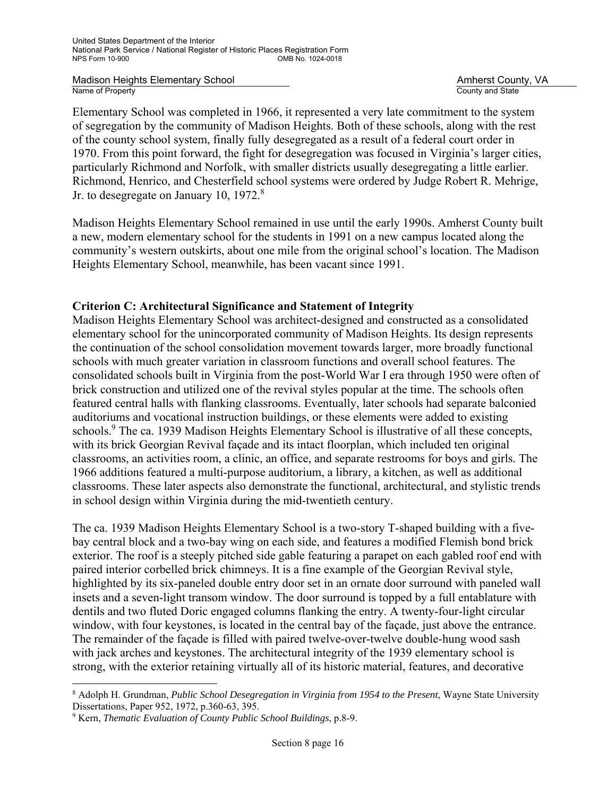Elementary School was completed in 1966, it represented a very late commitment to the system of segregation by the community of Madison Heights. Both of these schools, along with the rest of the county school system, finally fully desegregated as a result of a federal court order in 1970. From this point forward, the fight for desegregation was focused in Virginia's larger cities, particularly Richmond and Norfolk, with smaller districts usually desegregating a little earlier. Richmond, Henrico, and Chesterfield school systems were ordered by Judge Robert R. Mehrige, Jr. to desegregate on January 10, 1972.<sup>8</sup>

Madison Heights Elementary School remained in use until the early 1990s. Amherst County built a new, modern elementary school for the students in 1991 on a new campus located along the community's western outskirts, about one mile from the original school's location. The Madison Heights Elementary School, meanwhile, has been vacant since 1991.

# **Criterion C: Architectural Significance and Statement of Integrity**

Madison Heights Elementary School was architect-designed and constructed as a consolidated elementary school for the unincorporated community of Madison Heights. Its design represents the continuation of the school consolidation movement towards larger, more broadly functional schools with much greater variation in classroom functions and overall school features. The consolidated schools built in Virginia from the post-World War I era through 1950 were often of brick construction and utilized one of the revival styles popular at the time. The schools often featured central halls with flanking classrooms. Eventually, later schools had separate balconied auditoriums and vocational instruction buildings, or these elements were added to existing schools.<sup>9</sup> The ca. 1939 Madison Heights Elementary School is illustrative of all these concepts, with its brick Georgian Revival façade and its intact floorplan, which included ten original classrooms, an activities room, a clinic, an office, and separate restrooms for boys and girls. The 1966 additions featured a multi-purpose auditorium, a library, a kitchen, as well as additional classrooms. These later aspects also demonstrate the functional, architectural, and stylistic trends in school design within Virginia during the mid-twentieth century.

The ca. 1939 Madison Heights Elementary School is a two-story T-shaped building with a fivebay central block and a two-bay wing on each side, and features a modified Flemish bond brick exterior. The roof is a steeply pitched side gable featuring a parapet on each gabled roof end with paired interior corbelled brick chimneys. It is a fine example of the Georgian Revival style, highlighted by its six-paneled double entry door set in an ornate door surround with paneled wall insets and a seven-light transom window. The door surround is topped by a full entablature with dentils and two fluted Doric engaged columns flanking the entry. A twenty-four-light circular window, with four keystones, is located in the central bay of the façade, just above the entrance. The remainder of the façade is filled with paired twelve-over-twelve double-hung wood sash with jack arches and keystones. The architectural integrity of the 1939 elementary school is strong, with the exterior retaining virtually all of its historic material, features, and decorative

i 8 Adolph H. Grundman, *Public School Desegregation in Virginia from 1954 to the Present*, Wayne State University Dissertations, Paper 952, 1972, p.360-63, 395.

<sup>9</sup> Kern, *Thematic Evaluation of County Public School Buildings*, p.8-9.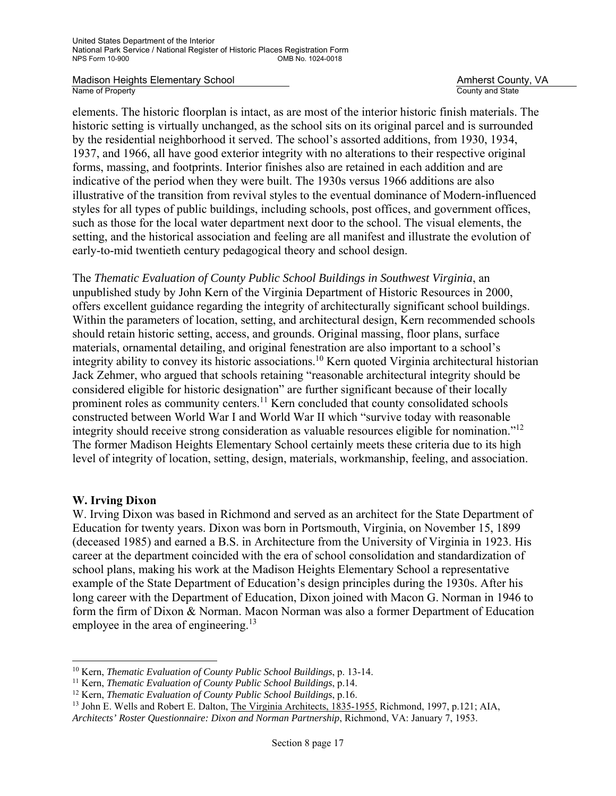Madison Heights Elementary School **Amherst County, VA**<br>
Name of Property **Amherst County Amherst County Amherst County** Amherst County Amherst County Amherst County Amherst County Amherst County Amherst County Amherst Coun

County and State

elements. The historic floorplan is intact, as are most of the interior historic finish materials. The historic setting is virtually unchanged, as the school sits on its original parcel and is surrounded by the residential neighborhood it served. The school's assorted additions, from 1930, 1934, 1937, and 1966, all have good exterior integrity with no alterations to their respective original forms, massing, and footprints. Interior finishes also are retained in each addition and are indicative of the period when they were built. The 1930s versus 1966 additions are also illustrative of the transition from revival styles to the eventual dominance of Modern-influenced styles for all types of public buildings, including schools, post offices, and government offices, such as those for the local water department next door to the school. The visual elements, the setting, and the historical association and feeling are all manifest and illustrate the evolution of early-to-mid twentieth century pedagogical theory and school design.

The *Thematic Evaluation of County Public School Buildings in Southwest Virginia*, an unpublished study by John Kern of the Virginia Department of Historic Resources in 2000, offers excellent guidance regarding the integrity of architecturally significant school buildings. Within the parameters of location, setting, and architectural design, Kern recommended schools should retain historic setting, access, and grounds. Original massing, floor plans, surface materials, ornamental detailing, and original fenestration are also important to a school's integrity ability to convey its historic associations.10 Kern quoted Virginia architectural historian Jack Zehmer, who argued that schools retaining "reasonable architectural integrity should be considered eligible for historic designation" are further significant because of their locally prominent roles as community centers.<sup>11</sup> Kern concluded that county consolidated schools constructed between World War I and World War II which "survive today with reasonable integrity should receive strong consideration as valuable resources eligible for nomination."12 The former Madison Heights Elementary School certainly meets these criteria due to its high level of integrity of location, setting, design, materials, workmanship, feeling, and association.

### **W. Irving Dixon**

i

W. Irving Dixon was based in Richmond and served as an architect for the State Department of Education for twenty years. Dixon was born in Portsmouth, Virginia, on November 15, 1899 (deceased 1985) and earned a B.S. in Architecture from the University of Virginia in 1923. His career at the department coincided with the era of school consolidation and standardization of school plans, making his work at the Madison Heights Elementary School a representative example of the State Department of Education's design principles during the 1930s. After his long career with the Department of Education, Dixon joined with Macon G. Norman in 1946 to form the firm of Dixon & Norman. Macon Norman was also a former Department of Education employee in the area of engineering.<sup>13</sup>

<sup>&</sup>lt;sup>10</sup> Kern, *Thematic Evaluation of County Public School Buildings*, p. 13-14.<br><sup>11</sup> Kern, *Thematic Evaluation of County Public School Buildings*, p.14.<br><sup>12</sup> Kern, *Thematic Evaluation of County Public School Buildings*, p

<sup>&</sup>lt;sup>13</sup> John E. Wells and Robert E. Dalton, The Virginia Architects, 1835-1955, Richmond, 1997, p.121; AIA,

*Architects' Roster Questionnaire: Dixon and Norman Partnership*, Richmond, VA: January 7, 1953.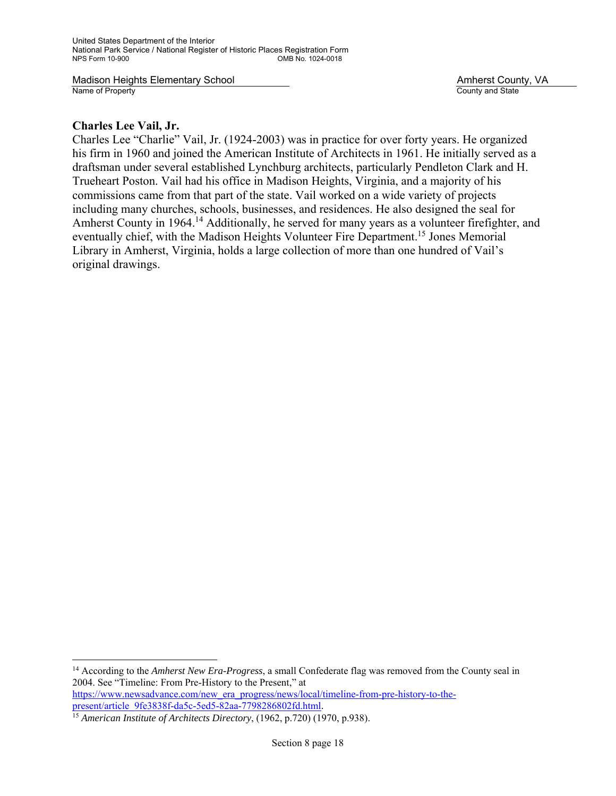Madison Heights Elementary School **Amherst County, VA**<br>
Name of Property **Amherst County Amherst County Amherst County** Amherst County Amherst County Amherst County Amherst County Amherst County Amherst County Amherst Coun

County and State

### **Charles Lee Vail, Jr.**

i

Charles Lee "Charlie" Vail, Jr. (1924-2003) was in practice for over forty years. He organized his firm in 1960 and joined the American Institute of Architects in 1961. He initially served as a draftsman under several established Lynchburg architects, particularly Pendleton Clark and H. Trueheart Poston. Vail had his office in Madison Heights, Virginia, and a majority of his commissions came from that part of the state. Vail worked on a wide variety of projects including many churches, schools, businesses, and residences. He also designed the seal for Amherst County in 1964.<sup>14</sup> Additionally, he served for many years as a volunteer firefighter, and eventually chief, with the Madison Heights Volunteer Fire Department.15 Jones Memorial Library in Amherst, Virginia, holds a large collection of more than one hundred of Vail's original drawings.

<sup>14</sup> According to the *Amherst New Era-Progress*, a small Confederate flag was removed from the County seal in 2004. See "Timeline: From Pre-History to the Present," at https://www.newsadvance.com/new\_era\_progress/news/local/timeline-from-pre-history-to-thepresent/article\_9fe3838f-da5c-5ed5-82aa-7798286802fd.html.

<sup>15</sup> *American Institute of Architects Directory*, (1962, p.720) (1970, p.938).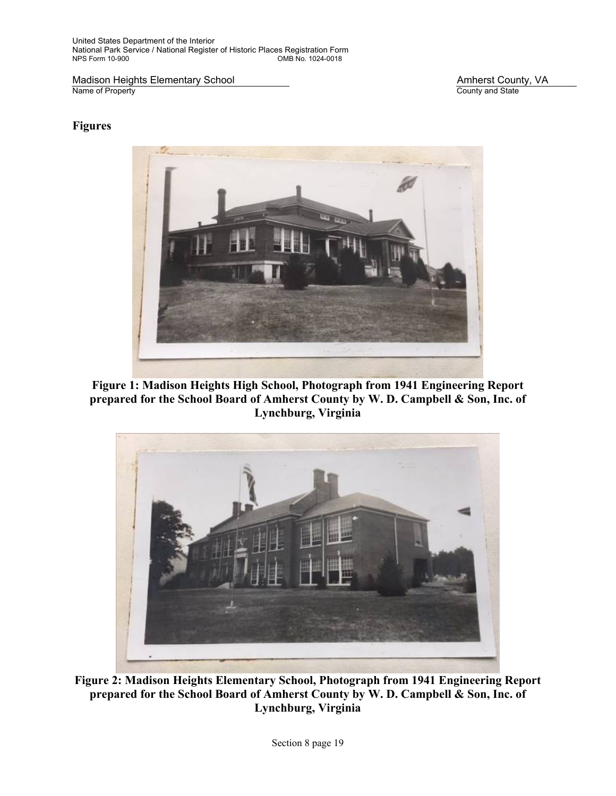United States Department of the Interior National Park Service / National Register of Historic Places Registration Form OMB No. 1024-0018

Madison Heights Elementary School Madison Heights Elementary School Amherst County, VA<br>
Name of Property County and State

County and State

### **Figures**



**Figure 1: Madison Heights High School, Photograph from 1941 Engineering Report prepared for the School Board of Amherst County by W. D. Campbell & Son, Inc. of Lynchburg, Virginia** 



**Figure 2: Madison Heights Elementary School, Photograph from 1941 Engineering Report prepared for the School Board of Amherst County by W. D. Campbell & Son, Inc. of Lynchburg, Virginia**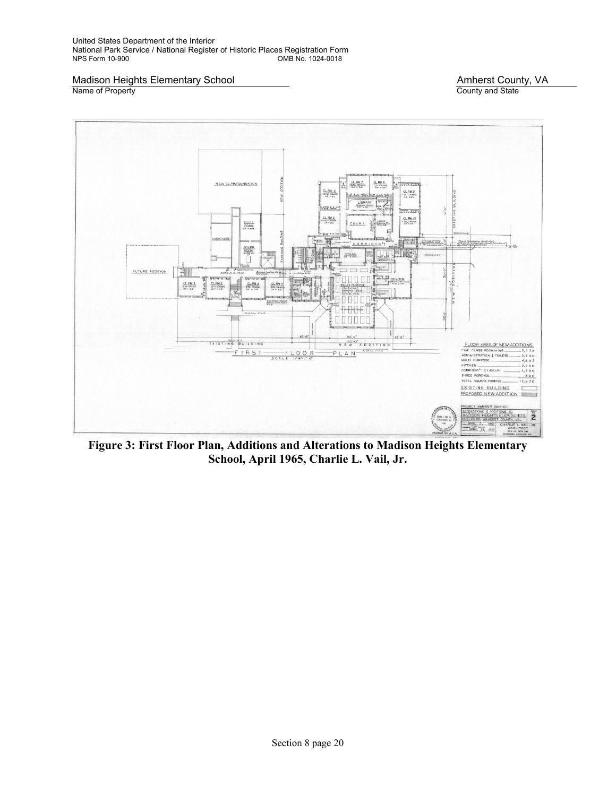United States Department of the Interior National Park Service / National Register of Historic Places Registration Form OMB No. 1024-0018

Madison Heights Elementary School Madison Heights Elementary School Amherst County, VA<br>
Name of Property County and State

County and State



**Figure 3: First Floor Plan, Additions and Alterations to Madison Heights Elementary School, April 1965, Charlie L. Vail, Jr.**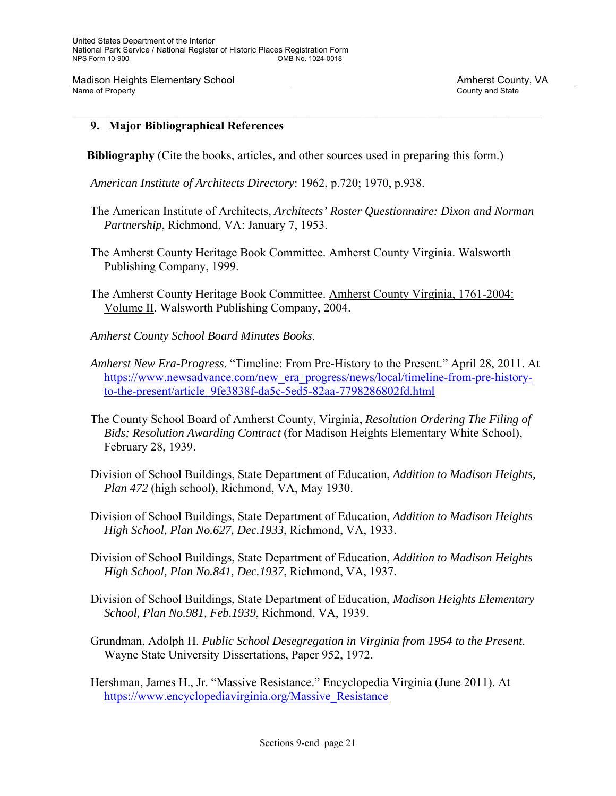### **9. Major Bibliographical References**

- **Bibliography** (Cite the books, articles, and other sources used in preparing this form.)
- *American Institute of Architects Directory*: 1962, p.720; 1970, p.938.
- The American Institute of Architects, *Architects' Roster Questionnaire: Dixon and Norman Partnership*, Richmond, VA: January 7, 1953.
- The Amherst County Heritage Book Committee. Amherst County Virginia. Walsworth Publishing Company, 1999.
- The Amherst County Heritage Book Committee. Amherst County Virginia, 1761-2004: Volume II. Walsworth Publishing Company, 2004.
- *Amherst County School Board Minutes Books*.
- *Amherst New Era-Progress*. "Timeline: From Pre-History to the Present." April 28, 2011. At https://www.newsadvance.com/new\_era\_progress/news/local/timeline-from-pre-historyto-the-present/article\_9fe3838f-da5c-5ed5-82aa-7798286802fd.html
- The County School Board of Amherst County, Virginia, *Resolution Ordering The Filing of Bids; Resolution Awarding Contract* (for Madison Heights Elementary White School), February 28, 1939.
- Division of School Buildings, State Department of Education, *Addition to Madison Heights, Plan 472* (high school), Richmond, VA, May 1930.
- Division of School Buildings, State Department of Education, *Addition to Madison Heights High School, Plan No.627, Dec.1933*, Richmond, VA, 1933.
- Division of School Buildings, State Department of Education, *Addition to Madison Heights High School, Plan No.841, Dec.1937*, Richmond, VA, 1937.
- Division of School Buildings, State Department of Education, *Madison Heights Elementary School, Plan No.981, Feb.1939*, Richmond, VA, 1939.
- Grundman, Adolph H. *Public School Desegregation in Virginia from 1954 to the Present*. Wayne State University Dissertations, Paper 952, 1972.
- Hershman, James H., Jr. "Massive Resistance." Encyclopedia Virginia (June 2011). At https://www.encyclopediavirginia.org/Massive\_Resistance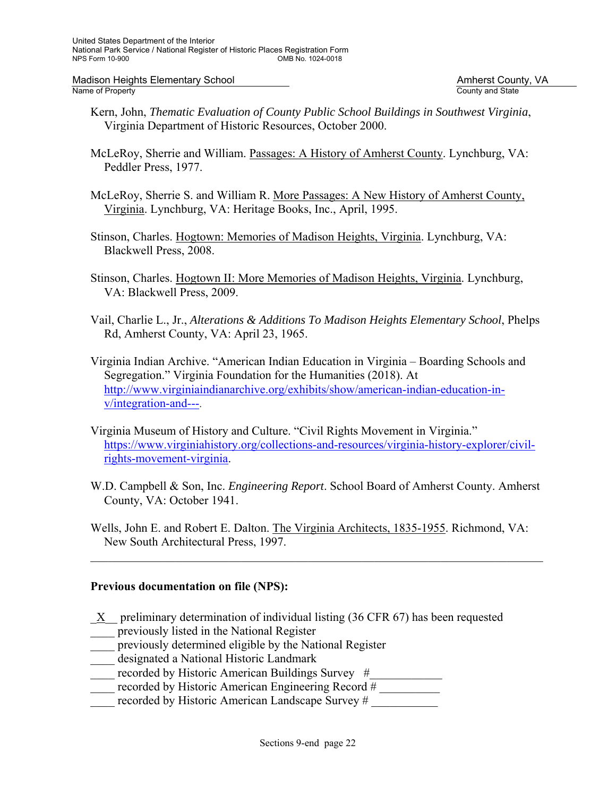Madison Heights Elementary School Madison Heights Elementary School Amherst County, VA<br>Name of Property Amherst County and State

County and State

- Kern, John, *Thematic Evaluation of County Public School Buildings in Southwest Virginia*, Virginia Department of Historic Resources, October 2000.
- McLeRoy, Sherrie and William. Passages: A History of Amherst County. Lynchburg, VA: Peddler Press, 1977.
- McLeRoy, Sherrie S. and William R. More Passages: A New History of Amherst County, Virginia. Lynchburg, VA: Heritage Books, Inc., April, 1995.
- Stinson, Charles. Hogtown: Memories of Madison Heights, Virginia. Lynchburg, VA: Blackwell Press, 2008.
- Stinson, Charles. Hogtown II: More Memories of Madison Heights, Virginia. Lynchburg, VA: Blackwell Press, 2009.
- Vail, Charlie L., Jr., *Alterations & Additions To Madison Heights Elementary School*, Phelps Rd, Amherst County, VA: April 23, 1965.
- Virginia Indian Archive. "American Indian Education in Virginia Boarding Schools and Segregation." Virginia Foundation for the Humanities (2018). At http://www.virginiaindianarchive.org/exhibits/show/american-indian-education-inv/integration-and---.
- Virginia Museum of History and Culture. "Civil Rights Movement in Virginia." https://www.virginiahistory.org/collections-and-resources/virginia-history-explorer/civilrights-movement-virginia.
- W.D. Campbell & Son, Inc. *Engineering Report*. School Board of Amherst County. Amherst County, VA: October 1941.
- Wells, John E. and Robert E. Dalton. The Virginia Architects, 1835-1955. Richmond, VA: New South Architectural Press, 1997.

 $\mathcal{L}_\mathcal{L} = \mathcal{L}_\mathcal{L} = \mathcal{L}_\mathcal{L} = \mathcal{L}_\mathcal{L} = \mathcal{L}_\mathcal{L} = \mathcal{L}_\mathcal{L} = \mathcal{L}_\mathcal{L} = \mathcal{L}_\mathcal{L} = \mathcal{L}_\mathcal{L} = \mathcal{L}_\mathcal{L} = \mathcal{L}_\mathcal{L} = \mathcal{L}_\mathcal{L} = \mathcal{L}_\mathcal{L} = \mathcal{L}_\mathcal{L} = \mathcal{L}_\mathcal{L} = \mathcal{L}_\mathcal{L} = \mathcal{L}_\mathcal{L}$ 

### **Previous documentation on file (NPS):**

- $X$  preliminary determination of individual listing (36 CFR 67) has been requested
- previously listed in the National Register
- previously determined eligible by the National Register
- \_\_\_\_ designated a National Historic Landmark
- recorded by Historic American Buildings Survey #
- recorded by Historic American Engineering Record #
- recorded by Historic American Landscape Survey #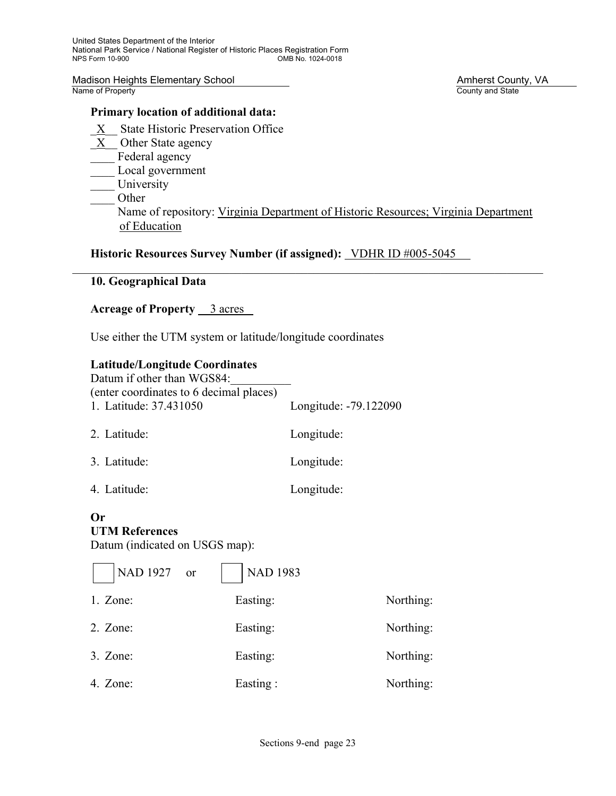Madison Heights Elementary School Madison Heights Elementary School Amherst County, VA<br>
Name of Property County and State

### **Primary location of additional data:**

- \_X\_\_ State Historic Preservation Office
- X Other State agency
- Federal agency Local government
- University
- \_\_\_\_ Other

 Name of repository: Virginia Department of Historic Resources; Virginia Department of Education

# Historic Resources Survey Number (if assigned): **VDHR ID #005-5045**

# **10. Geographical Data**

# Acreage of Property 3 acres

Use either the UTM system or latitude/longitude coordinates

### **Latitude/Longitude Coordinates**

| Datum if other than WGS84:<br>(enter coordinates to 6 decimal places) |                       |
|-----------------------------------------------------------------------|-----------------------|
| 1. Latitude: 37.431050                                                | Longitude: -79.122090 |
| 2. Latitude:                                                          | Longitude:            |
| 3. Latitude:                                                          | Longitude:            |
| 4. Latitude:                                                          | Longitude:            |

### **Or**

# **UTM References**

Datum (indicated on USGS map):

| NAD 1927 or | <b>NAD 1983</b> |           |
|-------------|-----------------|-----------|
| $1.$ Zone:  | Easting:        | Northing: |
| $2.$ Zone:  | Easting:        | Northing: |
| $3.$ Zone:  | Easting:        | Northing: |
| 4. Zone:    | Easting:        | Northing: |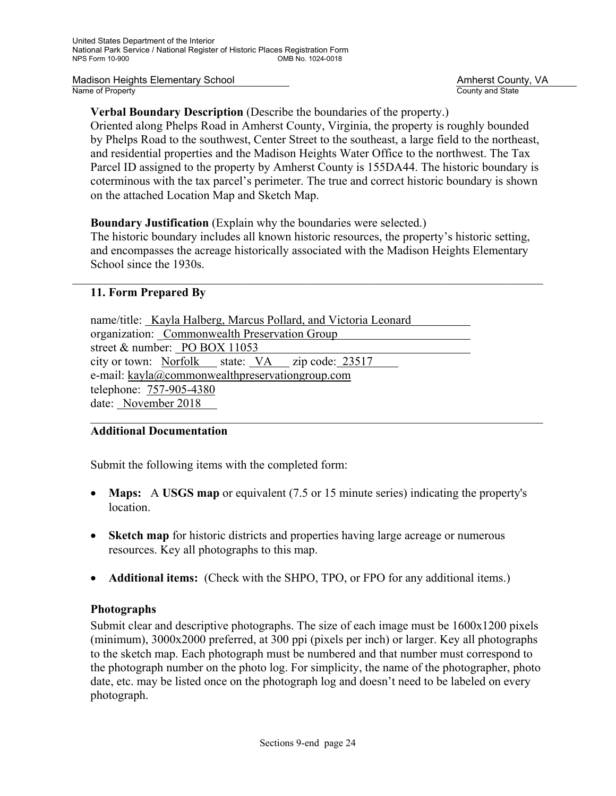Madison Heights Elementary School **Amherst County, VA**<br>
Name of Property **Amherst County Amherst County Amherst County** Amherst County Amherst County Amherst County Amherst County Amherst County Amherst County Amherst Coun

County and State

# **Verbal Boundary Description** (Describe the boundaries of the property.)

Oriented along Phelps Road in Amherst County, Virginia, the property is roughly bounded by Phelps Road to the southwest, Center Street to the southeast, a large field to the northeast, and residential properties and the Madison Heights Water Office to the northwest. The Tax Parcel ID assigned to the property by Amherst County is 155DA44. The historic boundary is coterminous with the tax parcel's perimeter. The true and correct historic boundary is shown on the attached Location Map and Sketch Map.

**Boundary Justification** (Explain why the boundaries were selected.)

The historic boundary includes all known historic resources, the property's historic setting, and encompasses the acreage historically associated with the Madison Heights Elementary School since the 1930s.

 $\mathcal{L}_\mathcal{L} = \mathcal{L}_\mathcal{L} = \mathcal{L}_\mathcal{L} = \mathcal{L}_\mathcal{L} = \mathcal{L}_\mathcal{L} = \mathcal{L}_\mathcal{L} = \mathcal{L}_\mathcal{L} = \mathcal{L}_\mathcal{L} = \mathcal{L}_\mathcal{L} = \mathcal{L}_\mathcal{L} = \mathcal{L}_\mathcal{L} = \mathcal{L}_\mathcal{L} = \mathcal{L}_\mathcal{L} = \mathcal{L}_\mathcal{L} = \mathcal{L}_\mathcal{L} = \mathcal{L}_\mathcal{L} = \mathcal{L}_\mathcal{L}$ 

# **11. Form Prepared By**

name/title: Kayla Halberg, Marcus Pollard, and Victoria Leonard organization: Commonwealth Preservation Group street & number: PO BOX 11053 city or town: Norfolk state: VA zip code: 23517 e-mail: kayla@commonwealthpreservationgroup.com telephone: 757-905-4380 date: November 2018

# **Additional Documentation**

Submit the following items with the completed form:

 **Maps:** A **USGS map** or equivalent (7.5 or 15 minute series) indicating the property's location.

 $\mathcal{L}_\mathcal{L} = \mathcal{L}_\mathcal{L} = \mathcal{L}_\mathcal{L} = \mathcal{L}_\mathcal{L} = \mathcal{L}_\mathcal{L} = \mathcal{L}_\mathcal{L} = \mathcal{L}_\mathcal{L} = \mathcal{L}_\mathcal{L} = \mathcal{L}_\mathcal{L} = \mathcal{L}_\mathcal{L} = \mathcal{L}_\mathcal{L} = \mathcal{L}_\mathcal{L} = \mathcal{L}_\mathcal{L} = \mathcal{L}_\mathcal{L} = \mathcal{L}_\mathcal{L} = \mathcal{L}_\mathcal{L} = \mathcal{L}_\mathcal{L}$ 

- **Sketch map** for historic districts and properties having large acreage or numerous resources. Key all photographs to this map.
- **Additional items:** (Check with the SHPO, TPO, or FPO for any additional items.)

# **Photographs**

Submit clear and descriptive photographs. The size of each image must be 1600x1200 pixels (minimum), 3000x2000 preferred, at 300 ppi (pixels per inch) or larger. Key all photographs to the sketch map. Each photograph must be numbered and that number must correspond to the photograph number on the photo log. For simplicity, the name of the photographer, photo date, etc. may be listed once on the photograph log and doesn't need to be labeled on every photograph.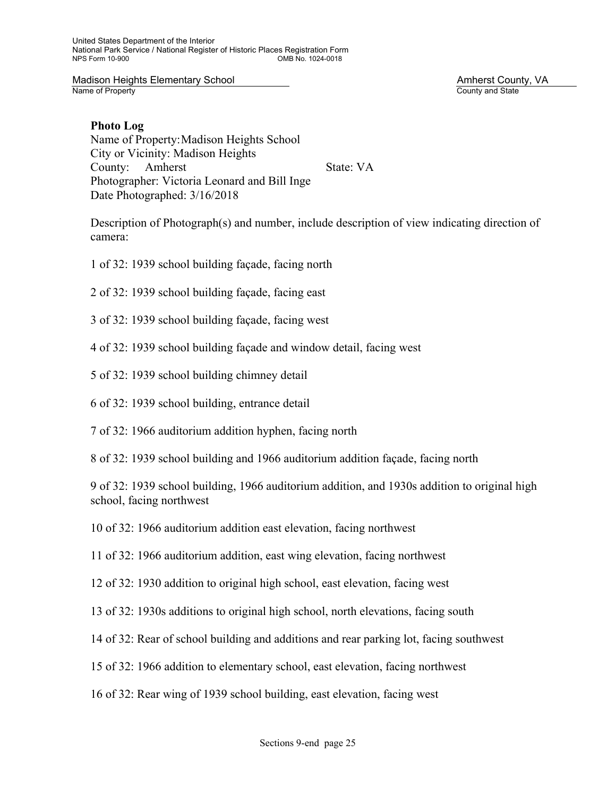### **Photo Log**

Name of Property: Madison Heights School City or Vicinity: Madison Heights County: Amherst State: VA Photographer: Victoria Leonard and Bill Inge Date Photographed: 3/16/2018

Description of Photograph(s) and number, include description of view indicating direction of camera:

- 1 of 32: 1939 school building façade, facing north
- 2 of 32: 1939 school building façade, facing east
- 3 of 32: 1939 school building façade, facing west
- 4 of 32: 1939 school building façade and window detail, facing west
- 5 of 32: 1939 school building chimney detail
- 6 of 32: 1939 school building, entrance detail

7 of 32: 1966 auditorium addition hyphen, facing north

8 of 32: 1939 school building and 1966 auditorium addition façade, facing north

9 of 32: 1939 school building, 1966 auditorium addition, and 1930s addition to original high school, facing northwest

10 of 32: 1966 auditorium addition east elevation, facing northwest

11 of 32: 1966 auditorium addition, east wing elevation, facing northwest

12 of 32: 1930 addition to original high school, east elevation, facing west

13 of 32: 1930s additions to original high school, north elevations, facing south

14 of 32: Rear of school building and additions and rear parking lot, facing southwest

15 of 32: 1966 addition to elementary school, east elevation, facing northwest

16 of 32: Rear wing of 1939 school building, east elevation, facing west